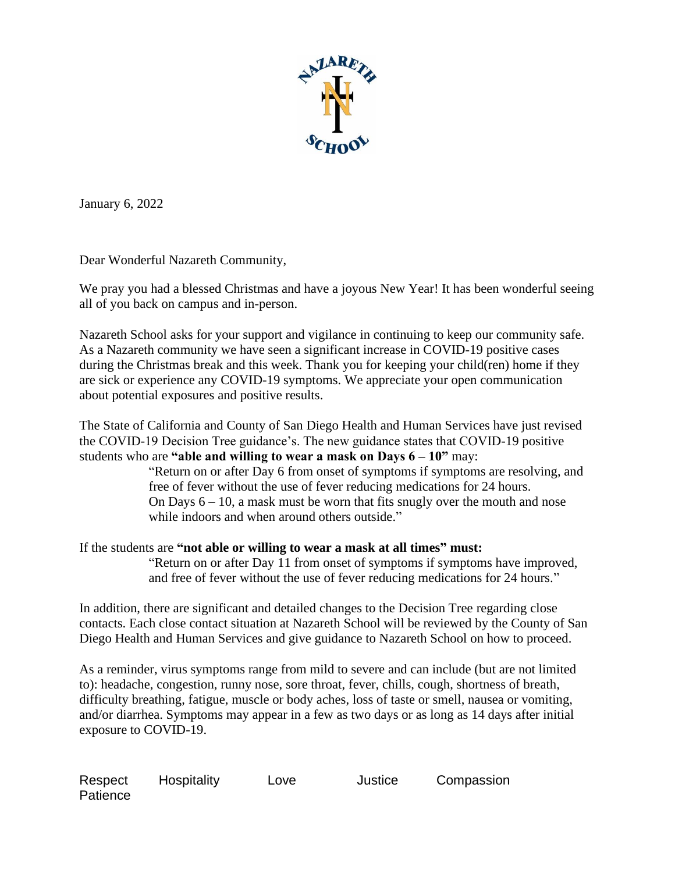

January 6, 2022

Dear Wonderful Nazareth Community,

We pray you had a blessed Christmas and have a joyous New Year! It has been wonderful seeing all of you back on campus and in-person.

Nazareth School asks for your support and vigilance in continuing to keep our community safe. As a Nazareth community we have seen a significant increase in COVID-19 positive cases during the Christmas break and this week. Thank you for keeping your child(ren) home if they are sick or experience any COVID-19 symptoms. We appreciate your open communication about potential exposures and positive results.

The State of California and County of San Diego Health and Human Services have just revised the COVID-19 Decision Tree guidance's. The new guidance states that COVID-19 positive students who are **"able and willing to wear a mask on Days 6 – 10"** may:

"Return on or after Day 6 from onset of symptoms if symptoms are resolving, and free of fever without the use of fever reducing medications for 24 hours. On Days  $6 - 10$ , a mask must be worn that fits snugly over the mouth and nose while indoors and when around others outside."

If the students are **"not able or willing to wear a mask at all times" must:**

"Return on or after Day 11 from onset of symptoms if symptoms have improved, and free of fever without the use of fever reducing medications for 24 hours."

In addition, there are significant and detailed changes to the Decision Tree regarding close contacts. Each close contact situation at Nazareth School will be reviewed by the County of San Diego Health and Human Services and give guidance to Nazareth School on how to proceed.

As a reminder, virus symptoms range from mild to severe and can include (but are not limited to): headache, congestion, runny nose, sore throat, fever, chills, cough, shortness of breath, difficulty breathing, fatigue, muscle or body aches, loss of taste or smell, nausea or vomiting, and/or diarrhea. Symptoms may appear in a few as two days or as long as 14 days after initial exposure to COVID-19.

| Respect  | Hospitality | Love | Justice | Compassion |
|----------|-------------|------|---------|------------|
| Patience |             |      |         |            |